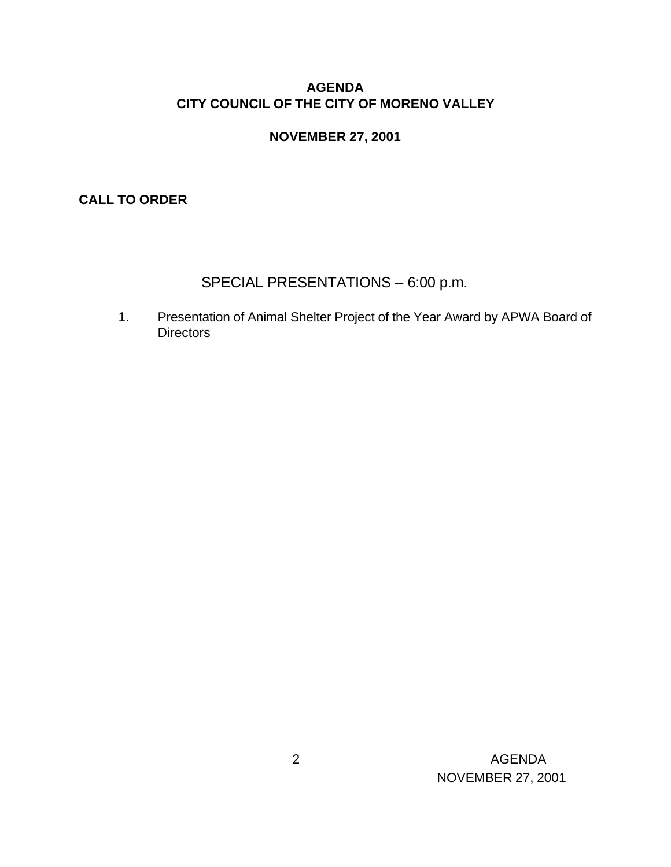### **AGENDA CITY COUNCIL OF THE CITY OF MORENO VALLEY**

#### **NOVEMBER 27, 2001**

**CALL TO ORDER**

# SPECIAL PRESENTATIONS – 6:00 p.m.

1. Presentation of Animal Shelter Project of the Year Award by APWA Board of **Directors**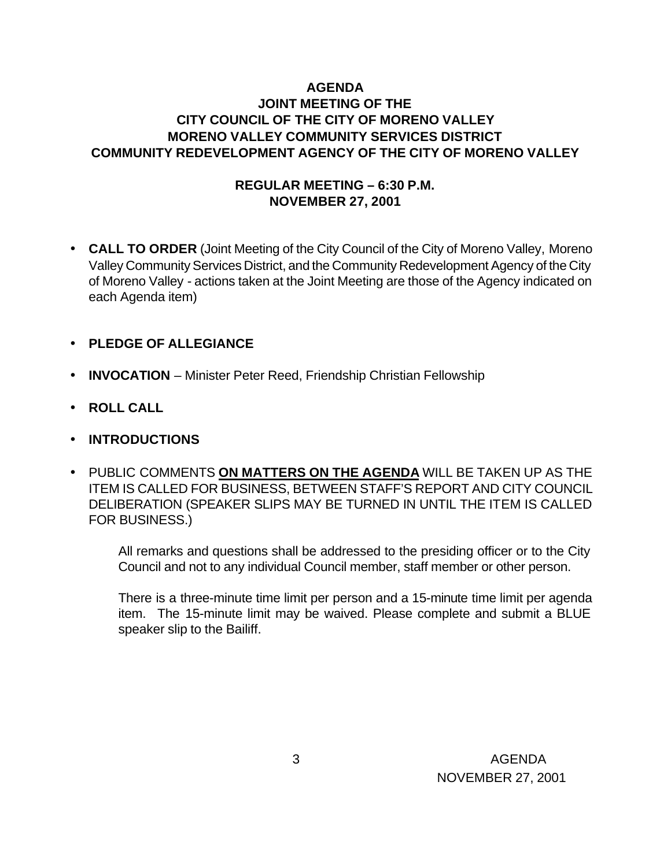### **AGENDA JOINT MEETING OF THE CITY COUNCIL OF THE CITY OF MORENO VALLEY MORENO VALLEY COMMUNITY SERVICES DISTRICT COMMUNITY REDEVELOPMENT AGENCY OF THE CITY OF MORENO VALLEY**

### **REGULAR MEETING – 6:30 P.M. NOVEMBER 27, 2001**

- **CALL TO ORDER** (Joint Meeting of the City Council of the City of Moreno Valley, Moreno Valley Community Services District, and the Community Redevelopment Agency of the City of Moreno Valley - actions taken at the Joint Meeting are those of the Agency indicated on each Agenda item)
- **PLEDGE OF ALLEGIANCE**
- **INVOCATION** Minister Peter Reed, Friendship Christian Fellowship
- **ROLL CALL**
- **INTRODUCTIONS**
- PUBLIC COMMENTS **ON MATTERS ON THE AGENDA** WILL BE TAKEN UP AS THE ITEM IS CALLED FOR BUSINESS, BETWEEN STAFF'S REPORT AND CITY COUNCIL DELIBERATION (SPEAKER SLIPS MAY BE TURNED IN UNTIL THE ITEM IS CALLED FOR BUSINESS.)

All remarks and questions shall be addressed to the presiding officer or to the City Council and not to any individual Council member, staff member or other person.

There is a three-minute time limit per person and a 15-minute time limit per agenda item. The 15-minute limit may be waived. Please complete and submit a BLUE speaker slip to the Bailiff.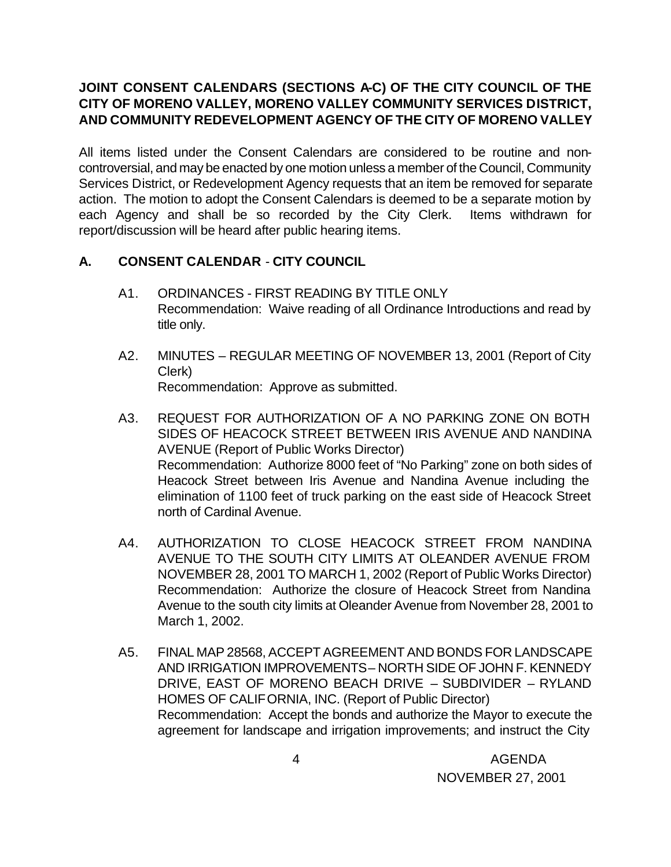### **JOINT CONSENT CALENDARS (SECTIONS A-C) OF THE CITY COUNCIL OF THE CITY OF MORENO VALLEY, MORENO VALLEY COMMUNITY SERVICES DISTRICT, AND COMMUNITY REDEVELOPMENT AGENCY OF THE CITY OF MORENO VALLEY**

All items listed under the Consent Calendars are considered to be routine and noncontroversial, and may be enacted by one motion unless a member of the Council, Community Services District, or Redevelopment Agency requests that an item be removed for separate action. The motion to adopt the Consent Calendars is deemed to be a separate motion by each Agency and shall be so recorded by the City Clerk. Items withdrawn for report/discussion will be heard after public hearing items.

### **A. CONSENT CALENDAR** - **CITY COUNCIL**

- A1. ORDINANCES FIRST READING BY TITLE ONLY Recommendation: Waive reading of all Ordinance Introductions and read by title only.
- A2. MINUTES REGULAR MEETING OF NOVEMBER 13, 2001 (Report of City Clerk) Recommendation: Approve as submitted.
- A3. REQUEST FOR AUTHORIZATION OF A NO PARKING ZONE ON BOTH SIDES OF HEACOCK STREET BETWEEN IRIS AVENUE AND NANDINA AVENUE (Report of Public Works Director) Recommendation: Authorize 8000 feet of "No Parking" zone on both sides of Heacock Street between Iris Avenue and Nandina Avenue including the elimination of 1100 feet of truck parking on the east side of Heacock Street north of Cardinal Avenue.
- A4. AUTHORIZATION TO CLOSE HEACOCK STREET FROM NANDINA AVENUE TO THE SOUTH CITY LIMITS AT OLEANDER AVENUE FROM NOVEMBER 28, 2001 TO MARCH 1, 2002 (Report of Public Works Director) Recommendation: Authorize the closure of Heacock Street from Nandina Avenue to the south city limits at Oleander Avenue from November 28, 2001 to March 1, 2002.
- A5. FINAL MAP 28568, ACCEPT AGREEMENT AND BONDS FOR LANDSCAPE AND IRRIGATION IMPROVEMENTS – NORTH SIDE OF JOHN F. KENNEDY DRIVE, EAST OF MORENO BEACH DRIVE – SUBDIVIDER – RYLAND HOMES OF CALIFORNIA, INC. (Report of Public Director) Recommendation: Accept the bonds and authorize the Mayor to execute the agreement for landscape and irrigation improvements; and instruct the City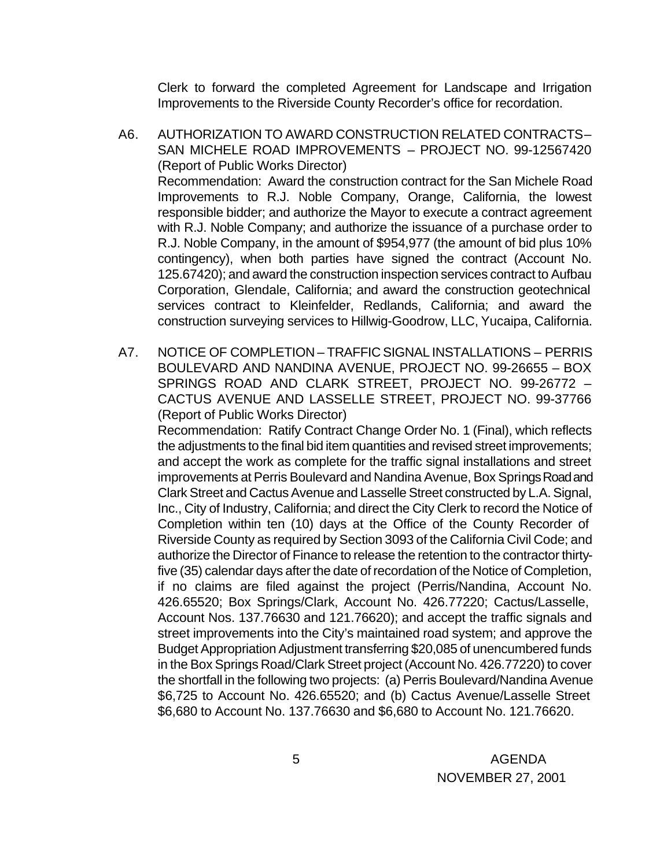Clerk to forward the completed Agreement for Landscape and Irrigation Improvements to the Riverside County Recorder's office for recordation.

- A6. AUTHORIZATION TO AWARD CONSTRUCTION RELATED CONTRACTS SAN MICHELE ROAD IMPROVEMENTS – PROJECT NO. 99-12567420 (Report of Public Works Director) Recommendation: Award the construction contract for the San Michele Road Improvements to R.J. Noble Company, Orange, California, the lowest responsible bidder; and authorize the Mayor to execute a contract agreement with R.J. Noble Company; and authorize the issuance of a purchase order to R.J. Noble Company, in the amount of \$954,977 (the amount of bid plus 10% contingency), when both parties have signed the contract (Account No. 125.67420); and award the construction inspection services contract to Aufbau Corporation, Glendale, California; and award the construction geotechnical services contract to Kleinfelder, Redlands, California; and award the construction surveying services to Hillwig-Goodrow, LLC, Yucaipa, California.
- A7. NOTICE OF COMPLETION TRAFFIC SIGNAL INSTALLATIONS PERRIS BOULEVARD AND NANDINA AVENUE, PROJECT NO. 99-26655 – BOX SPRINGS ROAD AND CLARK STREET, PROJECT NO. 99-26772 – CACTUS AVENUE AND LASSELLE STREET, PROJECT NO. 99-37766 (Report of Public Works Director)

Recommendation: Ratify Contract Change Order No. 1 (Final), which reflects the adjustments to the final bid item quantities and revised street improvements; and accept the work as complete for the traffic signal installations and street improvements at Perris Boulevard and Nandina Avenue, Box Springs Road and Clark Street and Cactus Avenue and Lasselle Street constructed by L.A. Signal, Inc., City of Industry, California; and direct the City Clerk to record the Notice of Completion within ten (10) days at the Office of the County Recorder of Riverside County as required by Section 3093 of the California Civil Code; and authorize the Director of Finance to release the retention to the contractor thirtyfive (35) calendar days after the date of recordation of the Notice of Completion, if no claims are filed against the project (Perris/Nandina, Account No. 426.65520; Box Springs/Clark, Account No. 426.77220; Cactus/Lasselle, Account Nos. 137.76630 and 121.76620); and accept the traffic signals and street improvements into the City's maintained road system; and approve the Budget Appropriation Adjustment transferring \$20,085 of unencumbered funds in the Box Springs Road/Clark Street project (Account No. 426.77220) to cover the shortfall in the following two projects: (a) Perris Boulevard/Nandina Avenue \$6,725 to Account No. 426.65520; and (b) Cactus Avenue/Lasselle Street \$6,680 to Account No. 137.76630 and \$6,680 to Account No. 121.76620.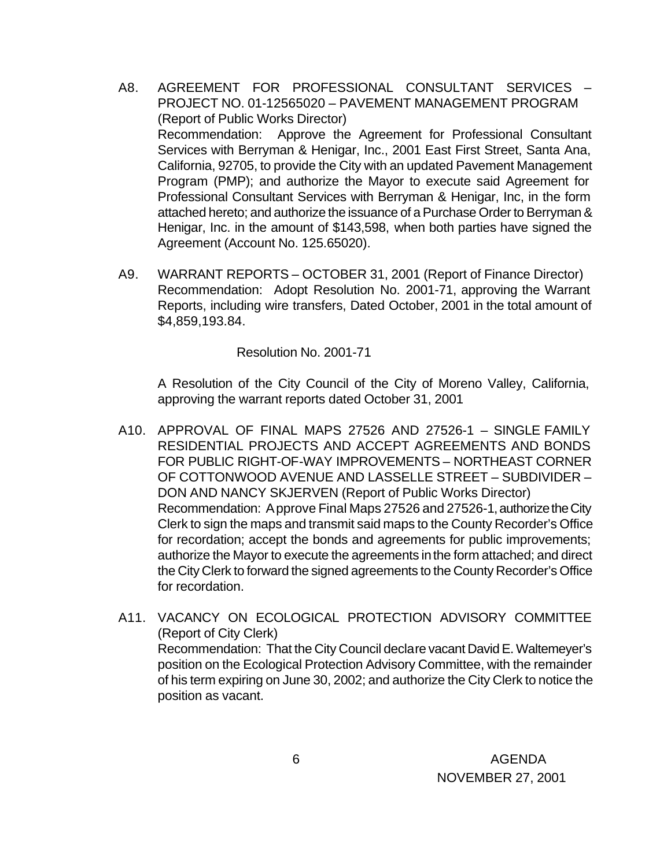- A8. AGREEMENT FOR PROFESSIONAL CONSULTANT SERVICES PROJECT NO. 01-12565020 – PAVEMENT MANAGEMENT PROGRAM (Report of Public Works Director) Recommendation: Approve the Agreement for Professional Consultant Services with Berryman & Henigar, Inc., 2001 East First Street, Santa Ana, California, 92705, to provide the City with an updated Pavement Management Program (PMP); and authorize the Mayor to execute said Agreement for Professional Consultant Services with Berryman & Henigar, Inc, in the form attached hereto; and authorize the issuance of a Purchase Order to Berryman & Henigar, Inc. in the amount of \$143,598, when both parties have signed the Agreement (Account No. 125.65020).
- A9. WARRANT REPORTS OCTOBER 31, 2001 (Report of Finance Director) Recommendation: Adopt Resolution No. 2001-71, approving the Warrant Reports, including wire transfers, Dated October, 2001 in the total amount of \$4,859,193.84.

#### Resolution No. 2001-71

A Resolution of the City Council of the City of Moreno Valley, California, approving the warrant reports dated October 31, 2001

- A10. APPROVAL OF FINAL MAPS 27526 AND 27526-1 SINGLE FAMILY RESIDENTIAL PROJECTS AND ACCEPT AGREEMENTS AND BONDS FOR PUBLIC RIGHT-OF-WAY IMPROVEMENTS – NORTHEAST CORNER OF COTTONWOOD AVENUE AND LASSELLE STREET – SUBDIVIDER – DON AND NANCY SKJERVEN (Report of Public Works Director) Recommendation: Approve Final Maps 27526 and 27526-1, authorize the City Clerk to sign the maps and transmit said maps to the County Recorder's Office for recordation; accept the bonds and agreements for public improvements; authorize the Mayor to execute the agreements in the form attached; and direct the City Clerk to forward the signed agreements to the County Recorder's Office for recordation.
- A11. VACANCY ON ECOLOGICAL PROTECTION ADVISORY COMMITTEE (Report of City Clerk) Recommendation: That the City Council declare vacant David E. Waltemeyer's position on the Ecological Protection Advisory Committee, with the remainder of his term expiring on June 30, 2002; and authorize the City Clerk to notice the position as vacant.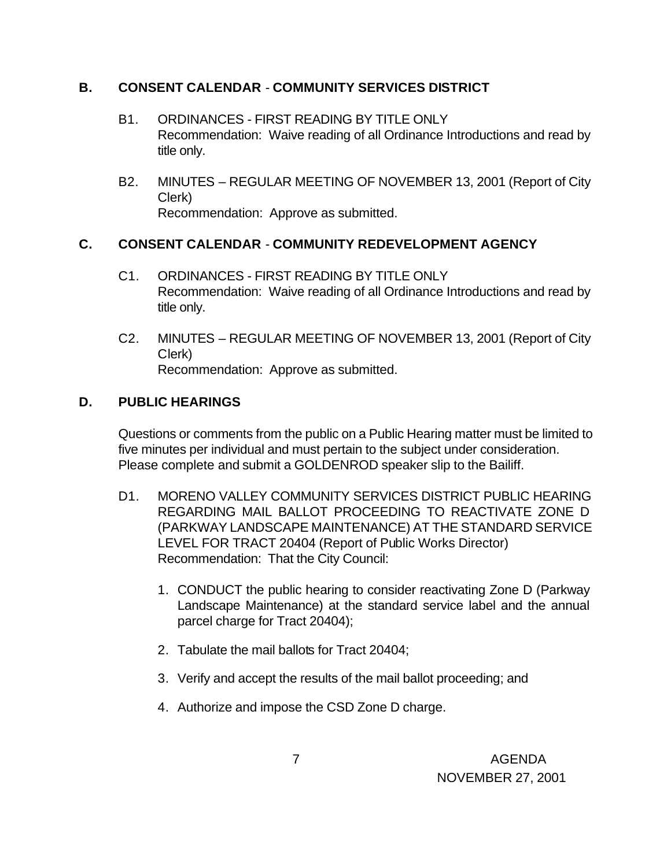### **B. CONSENT CALENDAR** - **COMMUNITY SERVICES DISTRICT**

- B1. ORDINANCES FIRST READING BY TITLE ONLY Recommendation: Waive reading of all Ordinance Introductions and read by title only.
- B2. MINUTES REGULAR MEETING OF NOVEMBER 13, 2001 (Report of City Clerk) Recommendation: Approve as submitted.

# **C. CONSENT CALENDAR** - **COMMUNITY REDEVELOPMENT AGENCY**

- C1. ORDINANCES FIRST READING BY TITLE ONLY Recommendation: Waive reading of all Ordinance Introductions and read by title only.
- C2. MINUTES REGULAR MEETING OF NOVEMBER 13, 2001 (Report of City Clerk) Recommendation: Approve as submitted.

# **D. PUBLIC HEARINGS**

Questions or comments from the public on a Public Hearing matter must be limited to five minutes per individual and must pertain to the subject under consideration. Please complete and submit a GOLDENROD speaker slip to the Bailiff.

- D1. MORENO VALLEY COMMUNITY SERVICES DISTRICT PUBLIC HEARING REGARDING MAIL BALLOT PROCEEDING TO REACTIVATE ZONE D (PARKWAY LANDSCAPE MAINTENANCE) AT THE STANDARD SERVICE LEVEL FOR TRACT 20404 (Report of Public Works Director) Recommendation: That the City Council:
	- 1. CONDUCT the public hearing to consider reactivating Zone D (Parkway Landscape Maintenance) at the standard service label and the annual parcel charge for Tract 20404);
	- 2. Tabulate the mail ballots for Tract 20404;
	- 3. Verify and accept the results of the mail ballot proceeding; and
	- 4. Authorize and impose the CSD Zone D charge.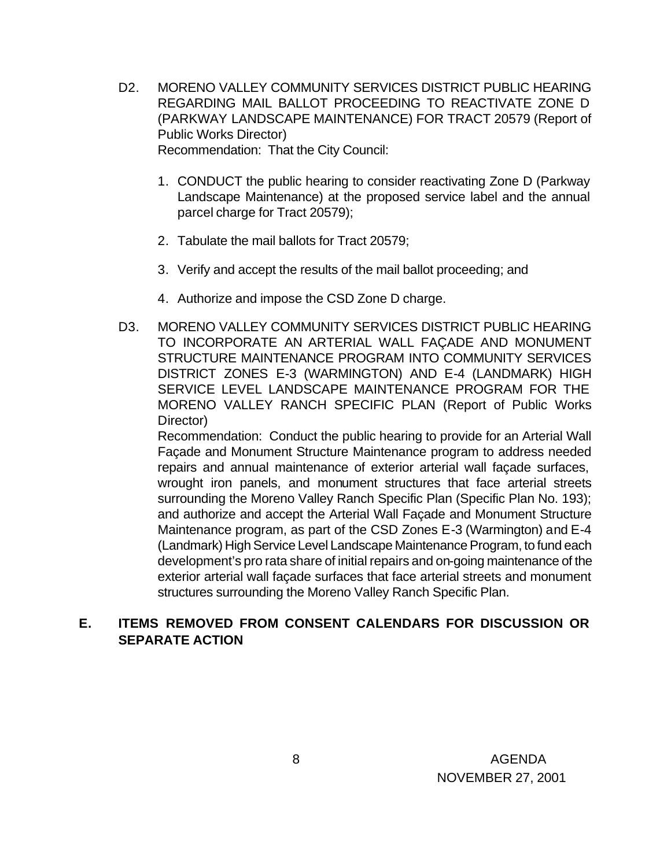- D2. MORENO VALLEY COMMUNITY SERVICES DISTRICT PUBLIC HEARING REGARDING MAIL BALLOT PROCEEDING TO REACTIVATE ZONE D (PARKWAY LANDSCAPE MAINTENANCE) FOR TRACT 20579 (Report of Public Works Director) Recommendation: That the City Council:
	- 1. CONDUCT the public hearing to consider reactivating Zone D (Parkway Landscape Maintenance) at the proposed service label and the annual parcel charge for Tract 20579);
	- 2. Tabulate the mail ballots for Tract 20579;
	- 3. Verify and accept the results of the mail ballot proceeding; and
	- 4. Authorize and impose the CSD Zone D charge.
- D3. MORENO VALLEY COMMUNITY SERVICES DISTRICT PUBLIC HEARING TO INCORPORATE AN ARTERIAL WALL FAÇADE AND MONUMENT STRUCTURE MAINTENANCE PROGRAM INTO COMMUNITY SERVICES DISTRICT ZONES E-3 (WARMINGTON) AND E-4 (LANDMARK) HIGH SERVICE LEVEL LANDSCAPE MAINTENANCE PROGRAM FOR THE MORENO VALLEY RANCH SPECIFIC PLAN (Report of Public Works Director)

Recommendation: Conduct the public hearing to provide for an Arterial Wall Façade and Monument Structure Maintenance program to address needed repairs and annual maintenance of exterior arterial wall façade surfaces, wrought iron panels, and monument structures that face arterial streets surrounding the Moreno Valley Ranch Specific Plan (Specific Plan No. 193); and authorize and accept the Arterial Wall Façade and Monument Structure Maintenance program, as part of the CSD Zones E-3 (Warmington) and E-4 (Landmark) High Service Level Landscape Maintenance Program, to fund each development's pro rata share of initial repairs and on-going maintenance of the exterior arterial wall façade surfaces that face arterial streets and monument structures surrounding the Moreno Valley Ranch Specific Plan.

### **E. ITEMS REMOVED FROM CONSENT CALENDARS FOR DISCUSSION OR SEPARATE ACTION**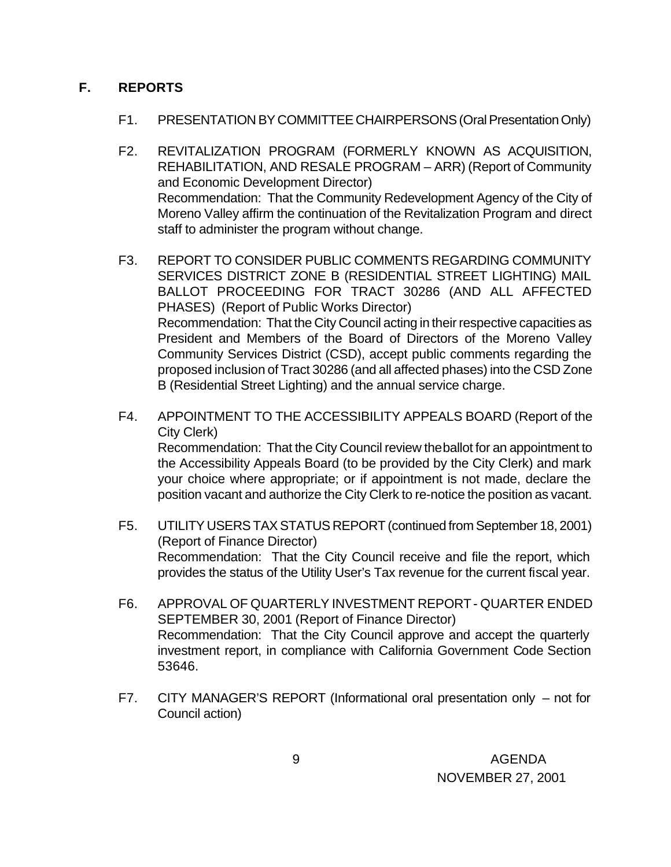### **F. REPORTS**

- F1. PRESENTATION BY COMMITTEE CHAIRPERSONS (Oral Presentation Only)
- F2. REVITALIZATION PROGRAM (FORMERLY KNOWN AS ACQUISITION, REHABILITATION, AND RESALE PROGRAM – ARR) (Report of Community and Economic Development Director) Recommendation: That the Community Redevelopment Agency of the City of Moreno Valley affirm the continuation of the Revitalization Program and direct staff to administer the program without change.
- F3. REPORT TO CONSIDER PUBLIC COMMENTS REGARDING COMMUNITY SERVICES DISTRICT ZONE B (RESIDENTIAL STREET LIGHTING) MAIL BALLOT PROCEEDING FOR TRACT 30286 (AND ALL AFFECTED PHASES) (Report of Public Works Director) Recommendation: That the City Council acting in their respective capacities as President and Members of the Board of Directors of the Moreno Valley Community Services District (CSD), accept public comments regarding the proposed inclusion of Tract 30286 (and all affected phases) into the CSD Zone B (Residential Street Lighting) and the annual service charge.
- F4. APPOINTMENT TO THE ACCESSIBILITY APPEALS BOARD (Report of the City Clerk) Recommendation: That the City Council review the ballot for an appointment to the Accessibility Appeals Board (to be provided by the City Clerk) and mark your choice where appropriate; or if appointment is not made, declare the position vacant and authorize the City Clerk to re-notice the position as vacant.
- F5. UTILITY USERS TAX STATUS REPORT (continued from September 18, 2001) (Report of Finance Director) Recommendation: That the City Council receive and file the report, which provides the status of the Utility User's Tax revenue for the current fiscal year.
- F6. APPROVAL OF QUARTERLY INVESTMENT REPORT QUARTER ENDED SEPTEMBER 30, 2001 (Report of Finance Director) Recommendation: That the City Council approve and accept the quarterly investment report, in compliance with California Government Code Section 53646.
- F7. CITY MANAGER'S REPORT (Informational oral presentation only not for Council action)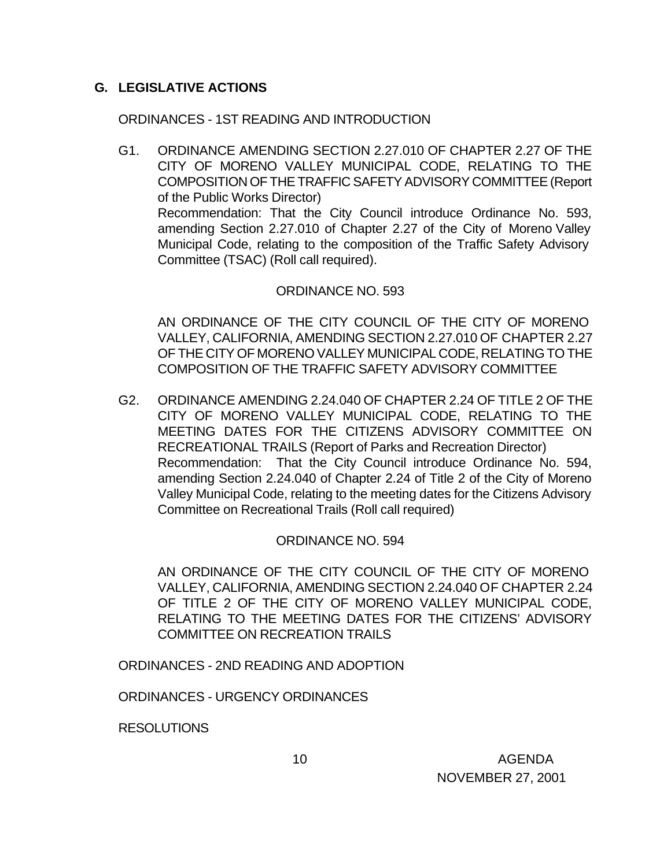### **G. LEGISLATIVE ACTIONS**

ORDINANCES - 1ST READING AND INTRODUCTION

G1. ORDINANCE AMENDING SECTION 2.27.010 OF CHAPTER 2.27 OF THE CITY OF MORENO VALLEY MUNICIPAL CODE, RELATING TO THE COMPOSITION OF THE TRAFFIC SAFETY ADVISORY COMMITTEE (Report of the Public Works Director) Recommendation: That the City Council introduce Ordinance No. 593, amending Section 2.27.010 of Chapter 2.27 of the City of Moreno Valley Municipal Code, relating to the composition of the Traffic Safety Advisory Committee (TSAC) (Roll call required).

### ORDINANCE NO. 593

AN ORDINANCE OF THE CITY COUNCIL OF THE CITY OF MORENO VALLEY, CALIFORNIA, AMENDING SECTION 2.27.010 OF CHAPTER 2.27 OF THE CITY OF MORENO VALLEY MUNICIPAL CODE, RELATING TO THE COMPOSITION OF THE TRAFFIC SAFETY ADVISORY COMMITTEE

G2. ORDINANCE AMENDING 2.24.040 OF CHAPTER 2.24 OF TITLE 2 OF THE CITY OF MORENO VALLEY MUNICIPAL CODE, RELATING TO THE MEETING DATES FOR THE CITIZENS ADVISORY COMMITTEE ON RECREATIONAL TRAILS (Report of Parks and Recreation Director) Recommendation: That the City Council introduce Ordinance No. 594, amending Section 2.24.040 of Chapter 2.24 of Title 2 of the City of Moreno Valley Municipal Code, relating to the meeting dates for the Citizens Advisory Committee on Recreational Trails (Roll call required)

### ORDINANCE NO. 594

AN ORDINANCE OF THE CITY COUNCIL OF THE CITY OF MORENO VALLEY, CALIFORNIA, AMENDING SECTION 2.24.040 OF CHAPTER 2.24 OF TITLE 2 OF THE CITY OF MORENO VALLEY MUNICIPAL CODE, RELATING TO THE MEETING DATES FOR THE CITIZENS' ADVISORY COMMITTEE ON RECREATION TRAILS

ORDINANCES - 2ND READING AND ADOPTION

ORDINANCES - URGENCY ORDINANCES

RESOLUTIONS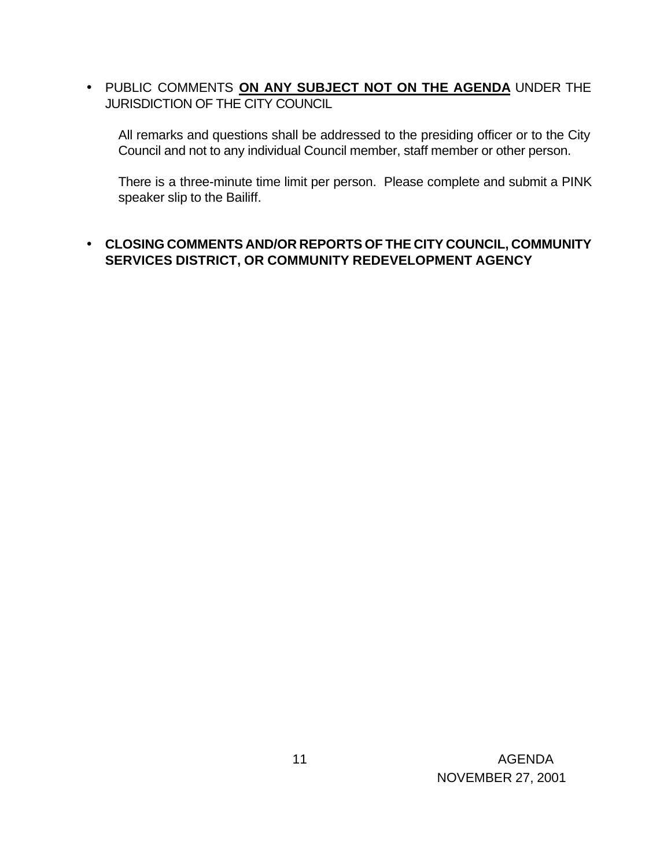• PUBLIC COMMENTS **ON ANY SUBJECT NOT ON THE AGENDA** UNDER THE JURISDICTION OF THE CITY COUNCIL

All remarks and questions shall be addressed to the presiding officer or to the City Council and not to any individual Council member, staff member or other person.

There is a three-minute time limit per person. Please complete and submit a PINK speaker slip to the Bailiff.

### • **CLOSING COMMENTS AND/OR REPORTS OF THE CITY COUNCIL, COMMUNITY SERVICES DISTRICT, OR COMMUNITY REDEVELOPMENT AGENCY**